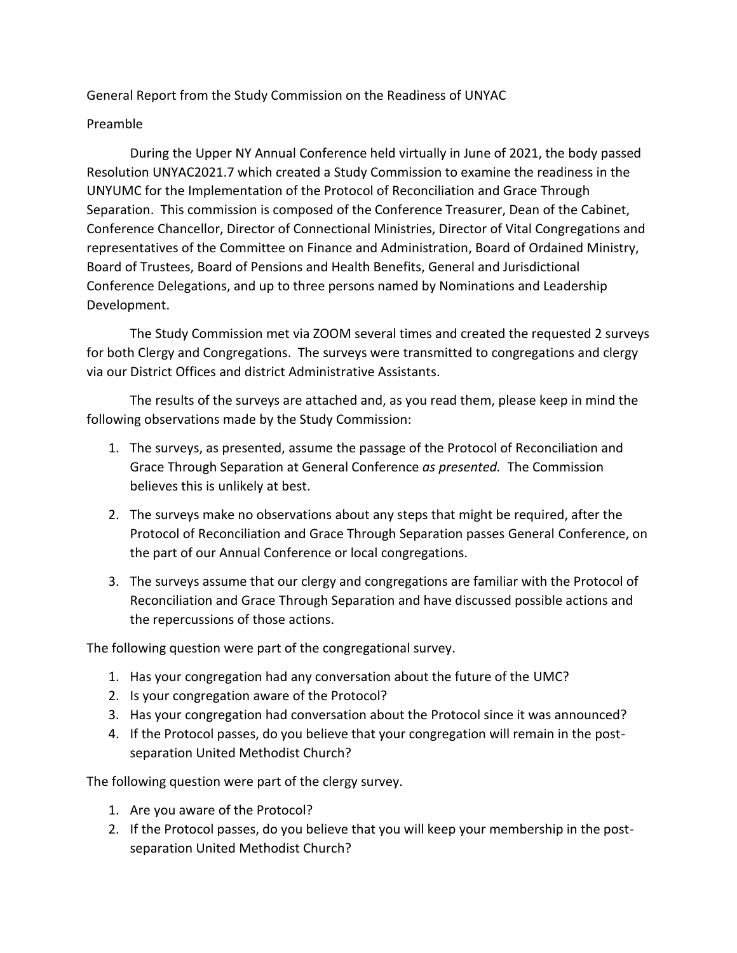General Report from the Study Commission on the Readiness of UNYAC

### Preamble

During the Upper NY Annual Conference held virtually in June of 2021, the body passed Resolution UNYAC2021.7 which created a Study Commission to examine the readiness in the UNYUMC for the Implementation of the Protocol of Reconciliation and Grace Through Separation. This commission is composed of the Conference Treasurer, Dean of the Cabinet, Conference Chancellor, Director of Connectional Ministries, Director of Vital Congregations and representatives of the Committee on Finance and Administration, Board of Ordained Ministry, Board of Trustees, Board of Pensions and Health Benefits, General and Jurisdictional Conference Delegations, and up to three persons named by Nominations and Leadership Development.

The Study Commission met via ZOOM several times and created the requested 2 surveys for both Clergy and Congregations. The surveys were transmitted to congregations and clergy via our District Offices and district Administrative Assistants.

The results of the surveys are attached and, as you read them, please keep in mind the following observations made by the Study Commission:

- 1. The surveys, as presented, assume the passage of the Protocol of Reconciliation and Grace Through Separation at General Conference *as presented.* The Commission believes this is unlikely at best.
- 2. The surveys make no observations about any steps that might be required, after the Protocol of Reconciliation and Grace Through Separation passes General Conference, on the part of our Annual Conference or local congregations.
- 3. The surveys assume that our clergy and congregations are familiar with the Protocol of Reconciliation and Grace Through Separation and have discussed possible actions and the repercussions of those actions.

The following question were part of the congregational survey.

- 1. Has your congregation had any conversation about the future of the UMC?
- 2. Is your congregation aware of the Protocol?
- 3. Has your congregation had conversation about the Protocol since it was announced?
- 4. If the Protocol passes, do you believe that your congregation will remain in the postseparation United Methodist Church?

The following question were part of the clergy survey.

- 1. Are you aware of the Protocol?
- 2. If the Protocol passes, do you believe that you will keep your membership in the postseparation United Methodist Church?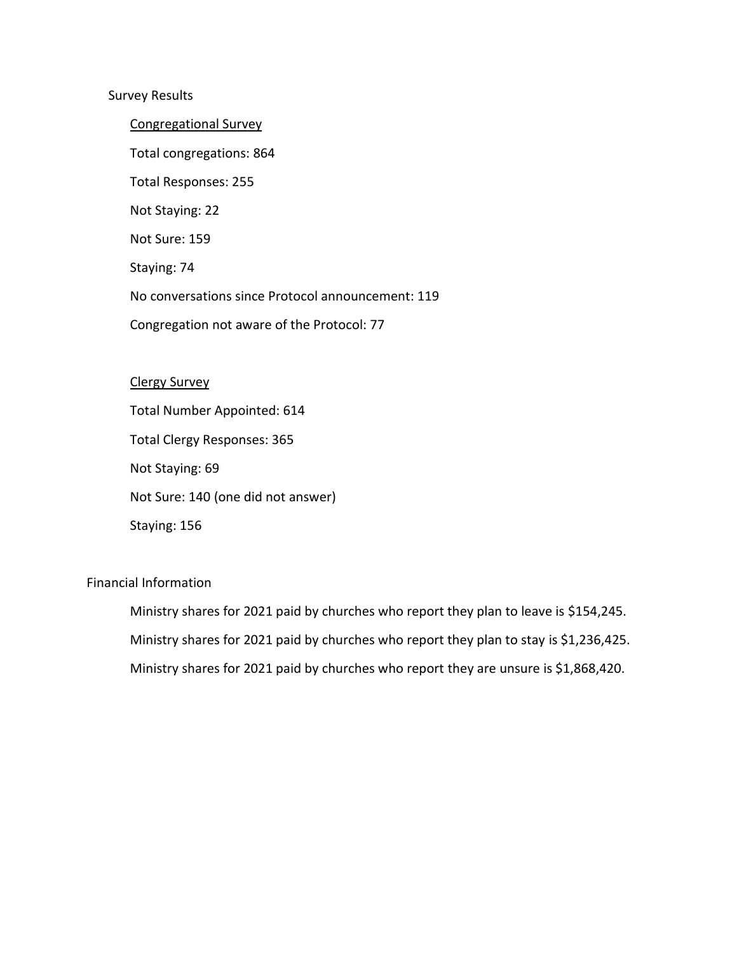### Survey Results

Congregational Survey Total congregations: 864 Total Responses: 255 Not Staying: 22 Not Sure: 159 Staying: 74 No conversations since Protocol announcement: 119 Congregation not aware of the Protocol: 77

#### Clergy Survey

Total Number Appointed: 614 Total Clergy Responses: 365 Not Staying: 69 Not Sure: 140 (one did not answer) Staying: 156

# Financial Information

Ministry shares for 2021 paid by churches who report they plan to leave is \$154,245. Ministry shares for 2021 paid by churches who report they plan to stay is \$1,236,425. Ministry shares for 2021 paid by churches who report they are unsure is \$1,868,420.